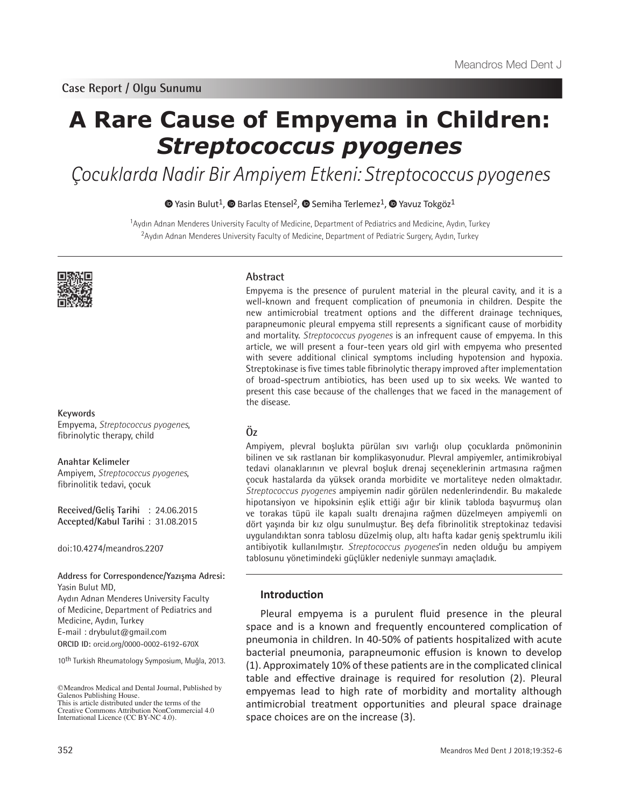# **A Rare Cause of Empyema in Children:**  *Streptococcus pyogenes*

Çocuklarda Nadir Bir Ampiyem Etkeni: Streptococcus pyogenes

## $\bullet$ Yasin Bulut<sup>1</sup>,  $\bullet$  Barlas Etensel<sup>2</sup>,  $\bullet$  Semiha Terlemez<sup>1</sup>,  $\bullet$  Yavuz Tokgöz<sup>1</sup>

<sup>1</sup>Aydın Adnan Menderes University Faculty of Medicine, Department of Pediatrics and Medicine, Aydın, Turkey <sup>2</sup>Aydın Adnan Menderes University Faculty of Medicine, Department of Pediatric Surgery, Aydın, Turkey



### **Keywords**

Empyema, *Streptococcus pyogenes*, fibrinolytic therapy, child

## **Anahtar Kelimeler** Ampiyem, *Streptococcus pyogenes*,

fibrinolitik tedavi, çocuk

**Received/Geliş Tarihi** : 24.06.2015 **Accepted/Kabul Tarihi** : 31.08.2015

doi:10.4274/meandros.2207

#### **Address for Correspondence/Yazışma Adresi:** Yasin Bulut MD,

**ORCID ID:** orcid.org/0000-0002-6192-670X Aydın Adnan Menderes University Faculty of Medicine, Department of Pediatrics and Medicine, Aydın, Turkey E-mail : drybulut@gmail.com

10th Turkish Rheumatology Symposium, Muğla, 2013.

## **Abstract**

Empyema is the presence of purulent material in the pleural cavity, and it is a well-known and frequent complication of pneumonia in children. Despite the new antimicrobial treatment options and the different drainage techniques, parapneumonic pleural empyema still represents a significant cause of morbidity and mortality. *Streptococcus pyogenes* is an infrequent cause of empyema. In this article, we will present a four-teen years old girl with empyema who presented with severe additional clinical symptoms including hypotension and hypoxia. Streptokinase is five times table fibrinolytic therapy improved after implementation of broad-spectrum antibiotics, has been used up to six weeks. We wanted to present this case because of the challenges that we faced in the management of the disease.

## **Öz**

Ampiyem, plevral boşlukta pürülan sıvı varlığı olup çocuklarda pnömoninin bilinen ve sık rastlanan bir komplikasyonudur. Plevral ampiyemler, antimikrobiyal tedavi olanaklarının ve plevral boşluk drenaj seçeneklerinin artmasına rağmen çocuk hastalarda da yüksek oranda morbidite ve mortaliteye neden olmaktadır. *Streptococcus pyogenes* ampiyemin nadir görülen nedenlerindendir. Bu makalede hipotansiyon ve hipoksinin eşlik ettiği ağır bir klinik tabloda başvurmuş olan ve torakas tüpü ile kapalı sualtı drenajına rağmen düzelmeyen ampiyemli on dört yaşında bir kız olgu sunulmuştur. Beş defa fibrinolitik streptokinaz tedavisi uygulandıktan sonra tablosu düzelmiş olup, altı hafta kadar geniş spektrumlu ikili antibiyotik kullanılmıştır. *Streptococcus pyogenes*'in neden olduğu bu ampiyem tablosunu yönetimindeki güçlükler nedeniyle sunmayı amaçladık.

## **Introduction**

Pleural empyema is a purulent fluid presence in the pleural space and is a known and frequently encountered complication of pneumonia in children. In 40-50% of patients hospitalized with acute bacterial pneumonia, parapneumonic effusion is known to develop (1). Approximately 10% of these patients are in the complicated clinical table and effective drainage is required for resolution (2). Pleural empyemas lead to high rate of morbidity and mortality although antimicrobial treatment opportunities and pleural space drainage space choices are on the increase (3).

<sup>©</sup>Meandros Medical and Dental Journal, Published by Galenos Publishing House. This is article distributed under the terms of the

Creative Commons Attribution NonCommercial 4.0 International Licence (CC BY-NC 4.0).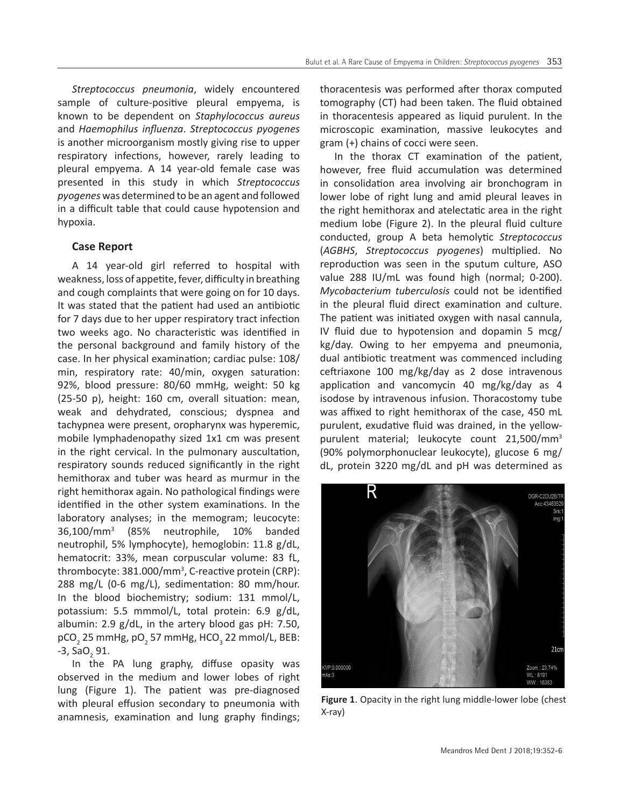*Streptococcus pneumonia*, widely encountered sample of culture-positive pleural empyema, is known to be dependent on *Staphylococcus aureus* and *Haemophilus influenza*. *Streptococcus pyogenes* is another microorganism mostly giving rise to upper respiratory infections, however, rarely leading to pleural empyema. A 14 year-old female case was presented in this study in which *Streptococcus pyogenes* was determined to be an agent and followed in a difficult table that could cause hypotension and hypoxia.

## **Case Report**

A 14 year-old girl referred to hospital with weakness, loss of appetite, fever, difficulty in breathing and cough complaints that were going on for 10 days. It was stated that the patient had used an antibiotic for 7 days due to her upper respiratory tract infection two weeks ago. No characteristic was identified in the personal background and family history of the case. In her physical examination; cardiac pulse: 108/ min, respiratory rate: 40/min, oxygen saturation: 92%, blood pressure: 80/60 mmHg, weight: 50 kg (25-50 p), height: 160 cm, overall situation: mean, weak and dehydrated, conscious; dyspnea and tachypnea were present, oropharynx was hyperemic, mobile lymphadenopathy sized 1x1 cm was present in the right cervical. In the pulmonary auscultation, respiratory sounds reduced significantly in the right hemithorax and tuber was heard as murmur in the right hemithorax again. No pathological findings were identified in the other system examinations. In the laboratory analyses; in the memogram; leucocyte: 36,100/mm<sup>3</sup> (85% neutrophile, 10% banded neutrophil, 5% lymphocyte), hemoglobin: 11.8 g/dL, hematocrit: 33%, mean corpuscular volume: 83 fL, thrombocyte: 381.000/mm<sup>3</sup> , C-reactive protein (CRP): 288 mg/L (0-6 mg/L), sedimentation: 80 mm/hour. In the blood biochemistry; sodium: 131 mmol/L, potassium: 5.5 mmmol/L, total protein: 6.9 g/dL, albumin: 2.9 g/dL, in the artery blood gas pH: 7.50,  $\tt pCO_2$  25 mmHg, pO $_2$  57 mmHg, HCO $_3$  22 mmol/L, BEB: -3, SaO<sub>2</sub> 91.

In the PA lung graphy, diffuse opasity was observed in the medium and lower lobes of right lung (Figure 1). The patient was pre-diagnosed with pleural effusion secondary to pneumonia with anamnesis, examination and lung graphy findings;

thoracentesis was performed after thorax computed tomography (CT) had been taken. The fluid obtained in thoracentesis appeared as liquid purulent. In the microscopic examination, massive leukocytes and gram (+) chains of cocci were seen.

In the thorax CT examination of the patient, however, free fluid accumulation was determined in consolidation area involving air bronchogram in lower lobe of right lung and amid pleural leaves in the right hemithorax and atelectatic area in the right medium lobe (Figure 2). In the pleural fluid culture conducted, group A beta hemolytic *Streptococcus* (*AGBHS*, *Streptococcus pyogenes*) multiplied. No reproduction was seen in the sputum culture, ASO value 288 IU/mL was found high (normal; 0-200). *Mycobacterium tuberculosis* could not be identified in the pleural fluid direct examination and culture. The patient was initiated oxygen with nasal cannula, IV fluid due to hypotension and dopamin 5 mcg/ kg/day. Owing to her empyema and pneumonia, dual antibiotic treatment was commenced including ceftriaxone 100 mg/kg/day as 2 dose intravenous application and vancomycin 40 mg/kg/day as 4 isodose by intravenous infusion. Thoracostomy tube was affixed to right hemithorax of the case, 450 mL purulent, exudative fluid was drained, in the yellowpurulent material; leukocyte count 21,500/mm<sup>3</sup> (90% polymorphonuclear leukocyte), glucose 6 mg/ dL, protein 3220 mg/dL and pH was determined as



**Figure 1**. Opacity in the right lung middle-lower lobe (chest X-ray)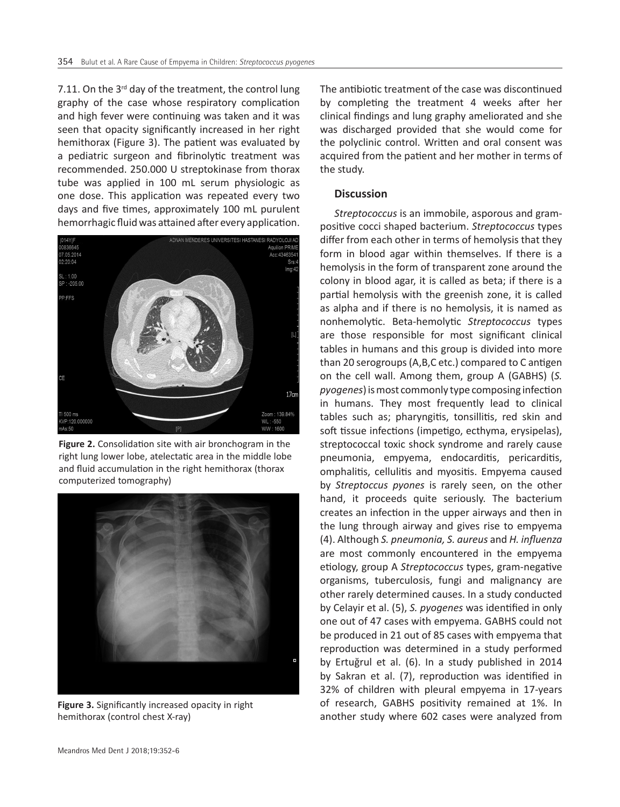7.11. On the  $3^{rd}$  day of the treatment, the control lung graphy of the case whose respiratory complication and high fever were continuing was taken and it was seen that opacity significantly increased in her right hemithorax (Figure 3). The patient was evaluated by a pediatric surgeon and fibrinolytic treatment was recommended. 250.000 U streptokinase from thorax tube was applied in 100 mL serum physiologic as one dose. This application was repeated every two days and five times, approximately 100 mL purulent hemorrhagic fluid was attained after every application.



**Figure 2.** Consolidation site with air bronchogram in the right lung lower lobe, atelectatic area in the middle lobe and fluid accumulation in the right hemithorax (thorax computerized tomography)



**Figure 3.** Significantly increased opacity in right hemithorax (control chest X-ray)

The antibiotic treatment of the case was discontinued by completing the treatment 4 weeks after her clinical findings and lung graphy ameliorated and she was discharged provided that she would come for the polyclinic control. Written and oral consent was acquired from the patient and her mother in terms of the study.

## **Discussion**

*Streptococcus* is an immobile, asporous and grampositive cocci shaped bacterium. *Streptococcus* types differ from each other in terms of hemolysis that they form in blood agar within themselves. If there is a hemolysis in the form of transparent zone around the colony in blood agar, it is called as beta; if there is a partial hemolysis with the greenish zone, it is called as alpha and if there is no hemolysis, it is named as nonhemolytic. Beta-hemolytic *Streptococcus* types are those responsible for most significant clinical tables in humans and this group is divided into more than 20 serogroups (A,B,C etc.) compared to C antigen on the cell wall. Among them, group A (GABHS) (*S. pyogenes*) is most commonly type composing infection in humans. They most frequently lead to clinical tables such as; pharyngitis, tonsillitis, red skin and soft tissue infections (impetigo, ecthyma, erysipelas), streptococcal toxic shock syndrome and rarely cause pneumonia, empyema, endocarditis, pericarditis, omphalitis, cellulitis and myositis. Empyema caused by *Streptoccus pyones* is rarely seen, on the other hand, it proceeds quite seriously. The bacterium creates an infection in the upper airways and then in the lung through airway and gives rise to empyema (4). Although *S. pneumonia, S. aureus* and *H. influenza* are most commonly encountered in the empyema etiology, group A *Streptococcus* types, gram-negative organisms, tuberculosis, fungi and malignancy are other rarely determined causes. In a study conducted by Celayir et al. (5), *S. pyogenes* was identified in only one out of 47 cases with empyema. GABHS could not be produced in 21 out of 85 cases with empyema that reproduction was determined in a study performed by Ertuğrul et al. (6). In a study published in 2014 by Sakran et al. (7), reproduction was identified in 32% of children with pleural empyema in 17-years of research, GABHS positivity remained at 1%. In another study where 602 cases were analyzed from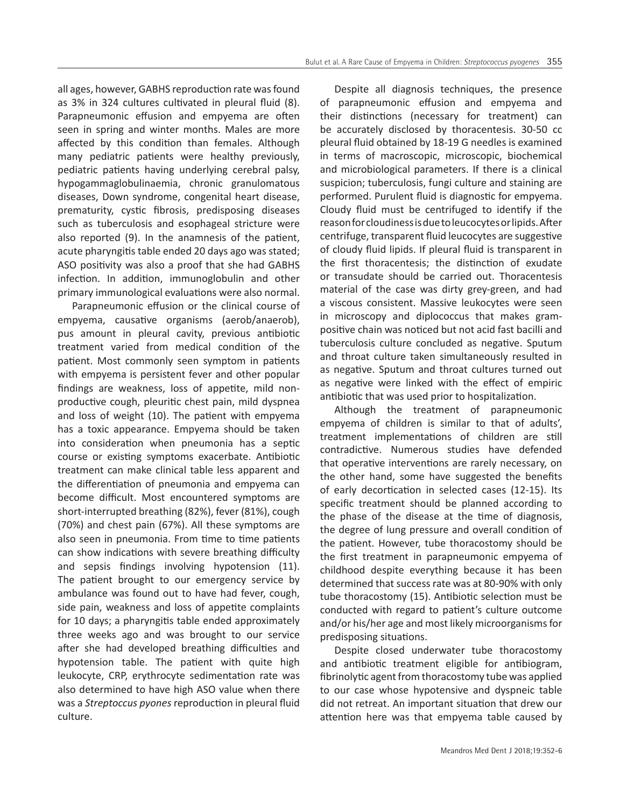all ages, however, GABHS reproduction rate was found as 3% in 324 cultures cultivated in pleural fluid (8). Parapneumonic effusion and empyema are often seen in spring and winter months. Males are more affected by this condition than females. Although many pediatric patients were healthy previously, pediatric patients having underlying cerebral palsy, hypogammaglobulinaemia, chronic granulomatous diseases, Down syndrome, congenital heart disease, prematurity, cystic fibrosis, predisposing diseases such as tuberculosis and esophageal stricture were also reported (9). In the anamnesis of the patient, acute pharyngitis table ended 20 days ago was stated; ASO positivity was also a proof that she had GABHS infection. In addition, immunoglobulin and other primary immunological evaluations were also normal.

Parapneumonic effusion or the clinical course of empyema, causative organisms (aerob/anaerob), pus amount in pleural cavity, previous antibiotic treatment varied from medical condition of the patient. Most commonly seen symptom in patients with empyema is persistent fever and other popular findings are weakness, loss of appetite, mild nonproductive cough, pleuritic chest pain, mild dyspnea and loss of weight (10). The patient with empyema has a toxic appearance. Empyema should be taken into consideration when pneumonia has a septic course or existing symptoms exacerbate. Antibiotic treatment can make clinical table less apparent and the differentiation of pneumonia and empyema can become difficult. Most encountered symptoms are short-interrupted breathing (82%), fever (81%), cough (70%) and chest pain (67%). All these symptoms are also seen in pneumonia. From time to time patients can show indications with severe breathing difficulty and sepsis findings involving hypotension (11). The patient brought to our emergency service by ambulance was found out to have had fever, cough, side pain, weakness and loss of appetite complaints for 10 days; a pharyngitis table ended approximately three weeks ago and was brought to our service after she had developed breathing difficulties and hypotension table. The patient with quite high leukocyte, CRP, erythrocyte sedimentation rate was also determined to have high ASO value when there was a *Streptoccus pyones* reproduction in pleural fluid culture.

Despite all diagnosis techniques, the presence of parapneumonic effusion and empyema and their distinctions (necessary for treatment) can be accurately disclosed by thoracentesis. 30-50 cc pleural fluid obtained by 18-19 G needles is examined in terms of macroscopic, microscopic, biochemical and microbiological parameters. If there is a clinical suspicion; tuberculosis, fungi culture and staining are performed. Purulent fluid is diagnostic for empyema. Cloudy fluid must be centrifuged to identify if the reason for cloudiness is due to leucocytes or lipids. After centrifuge, transparent fluid leucocytes are suggestive of cloudy fluid lipids. If pleural fluid is transparent in the first thoracentesis; the distinction of exudate or transudate should be carried out. Thoracentesis material of the case was dirty grey-green, and had a viscous consistent. Massive leukocytes were seen in microscopy and diplococcus that makes grampositive chain was noticed but not acid fast bacilli and tuberculosis culture concluded as negative. Sputum and throat culture taken simultaneously resulted in as negative. Sputum and throat cultures turned out as negative were linked with the effect of empiric antibiotic that was used prior to hospitalization.

Although the treatment of parapneumonic empyema of children is similar to that of adults', treatment implementations of children are still contradictive. Numerous studies have defended that operative interventions are rarely necessary, on the other hand, some have suggested the benefits of early decortication in selected cases (12-15). Its specific treatment should be planned according to the phase of the disease at the time of diagnosis, the degree of lung pressure and overall condition of the patient. However, tube thoracostomy should be the first treatment in parapneumonic empyema of childhood despite everything because it has been determined that success rate was at 80-90% with only tube thoracostomy (15). Antibiotic selection must be conducted with regard to patient's culture outcome and/or his/her age and most likely microorganisms for predisposing situations.

Despite closed underwater tube thoracostomy and antibiotic treatment eligible for antibiogram, fibrinolytic agent from thoracostomy tube was applied to our case whose hypotensive and dyspneic table did not retreat. An important situation that drew our attention here was that empyema table caused by